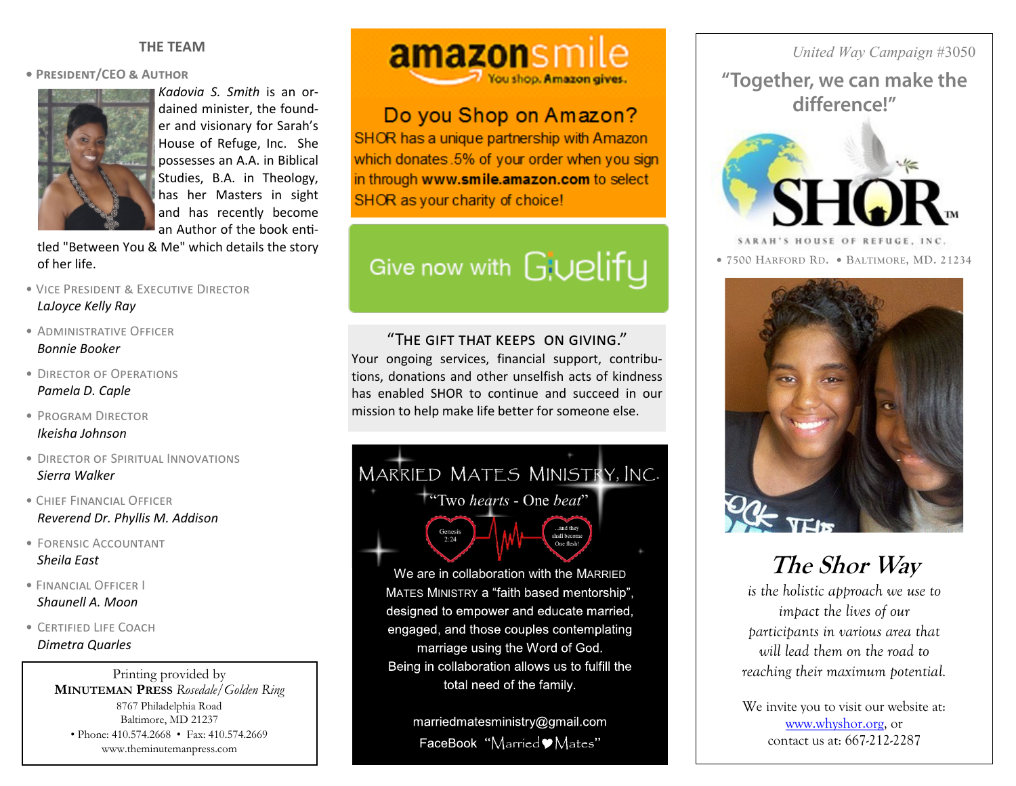#### **THE TEAM**

**• President/CEO & Author** 



*Kadovia S. Smith* is an ordained minister, the founder and visionary for Sarah's House of Refuge, Inc. She possesses an A.A. in Biblical Studies, B.A. in Theology, has her Masters in sight and has recently become an Author of the book enti-

tled "Between You & Me" which details the story of her life.

- Vice President & Executive Director *LaJoyce Kelly Ray*
- ADMINISTRATIVE OFFICER *Bonnie Booker*
- DIRECTOR OF OPERATIONS *Pamela D. Caple*
- PROGRAM DIRECTOR *Ikeisha Johnson*
- Director of Spiritual Innovations *Sierra Walker*
- Chief Financial Officer *Reverend Dr. Phyllis M. Addison*
- Forensic Accountant *Sheila East*
- Financial Officer I *Shaunell A. Moon*
- Certified Life Coach *Dimetra Quarles*

Printing provided by **MINUTEMAN PRESS** *Rosedale/Golden Ring*  8767 Philadelphia Road Baltimore, MD 21237 • Phone: 410.574.2668 • Fax: 410.574.2669 www.theminutemanpress.com



### Do you Shop on Amazon?

SHOR has a unique partnership with Amazon which donates 5% of your order when you sign in through www.smile.amazon.com to select SHOR as your charity of choice!

# Give now with Gluelify

#### "The gift that keeps on giving."

Your ongoing services, financial support, contributions, donations and other unselfish acts of kindness has enabled SHOR to continue and succeed in our mission to help make life better for someone else.

| MARRIED MATES MINISTRY, INC.                |  |
|---------------------------------------------|--|
| "Two hearts - One beat"                     |  |
| and they<br>Genesis<br>shall become<br>2:24 |  |
| One flesh!                                  |  |
| Me are in collaboration with the MARRIED    |  |

We are in collaboration with the MARRIED MATES MINISTRY a "faith based mentorship", designed to empower and educate married, engaged, and those couples contemplating marriage using the Word of God. Being in collaboration allows us to fulfill the total need of the family.

> marriedmatesministry@gmail.com FaceBook "Married Mates"

*United Way Campaign* #3050

"Together, we can make the difference!"



SARAH'S HOUSE OF REFUGE, INC. **• 7500 HARFORD RD. • BALTIMORE, MD. 21234**



## **The Shor Way**

*is the holistic approach we use to impact the lives of our participants in various area that will lead them on the road to reaching their maximum potential.*

We invite you to visit our website at: [www.whyshor.org,](http://www.whyshor.org) or contact us at: 667-212-2287